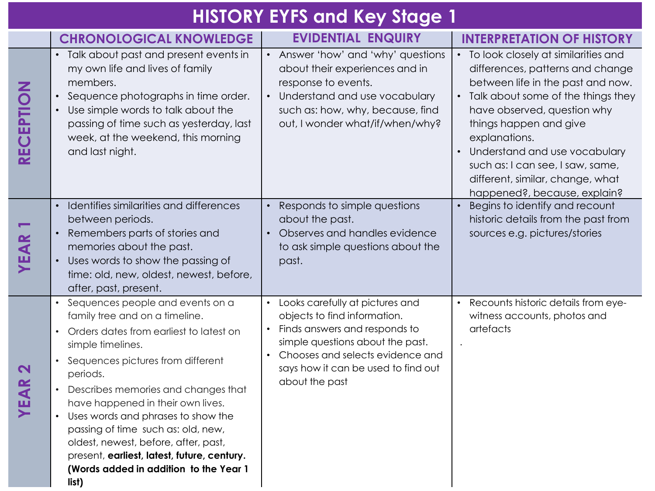## **HISTORY EYFS and Key Stage 1**

|                                   | <b>CHRONOLOGICAL KNOWLEDGE</b>                                                                                                                                                                                                                                                                                                                                                                                                                                                        | <b>EVIDENTIAL ENQUIRY</b>                                                                                                                                                                                                           | <b>INTERPRETATION OF HISTORY</b>                                                                                                                                                                                                                                                                                                                                          |
|-----------------------------------|---------------------------------------------------------------------------------------------------------------------------------------------------------------------------------------------------------------------------------------------------------------------------------------------------------------------------------------------------------------------------------------------------------------------------------------------------------------------------------------|-------------------------------------------------------------------------------------------------------------------------------------------------------------------------------------------------------------------------------------|---------------------------------------------------------------------------------------------------------------------------------------------------------------------------------------------------------------------------------------------------------------------------------------------------------------------------------------------------------------------------|
| RECEPTION                         | Talk about past and present events in<br>my own life and lives of family<br>members.<br>Sequence photographs in time order.<br>$\bullet$<br>Use simple words to talk about the<br>passing of time such as yesterday, last<br>week, at the weekend, this morning<br>and last night.                                                                                                                                                                                                    | • Answer 'how' and 'why' questions<br>about their experiences and in<br>response to events.<br>• Understand and use vocabulary<br>such as: how, why, because, find<br>out, I wonder what/if/when/why?                               | • To look closely at similarities and<br>differences, patterns and change<br>between life in the past and now.<br>• Talk about some of the things they<br>have observed, question why<br>things happen and give<br>explanations.<br>Understand and use vocabulary<br>such as: I can see, I saw, same,<br>different, similar, change, what<br>happened?, because, explain? |
| EAR                               | Identifies similarities and differences<br>between periods.<br>Remembers parts of stories and<br>$\bullet$<br>memories about the past.<br>Uses words to show the passing of<br>$\bullet$<br>time: old, new, oldest, newest, before,<br>after, past, present.                                                                                                                                                                                                                          | Responds to simple questions<br>about the past.<br>• Observes and handles evidence<br>to ask simple questions about the<br>past.                                                                                                    | Begins to identify and recount<br>historic details from the past from<br>sources e.g. pictures/stories                                                                                                                                                                                                                                                                    |
| $\boldsymbol{\mathsf{N}}$<br>YEAR | Sequences people and events on a<br>family tree and on a timeline.<br>Orders dates from earliest to latest on<br>simple timelines.<br>Sequences pictures from different<br>periods.<br>Describes memories and changes that<br>have happened in their own lives.<br>Uses words and phrases to show the<br>passing of time such as: old, new,<br>oldest, newest, before, after, past,<br>present, earliest, latest, future, century.<br>(Words added in addition to the Year 1<br>list) | • Looks carefully at pictures and<br>objects to find information.<br>Finds answers and responds to<br>simple questions about the past.<br>Chooses and selects evidence and<br>says how it can be used to find out<br>about the past | Recounts historic details from eye-<br>witness accounts, photos and<br>artefacts                                                                                                                                                                                                                                                                                          |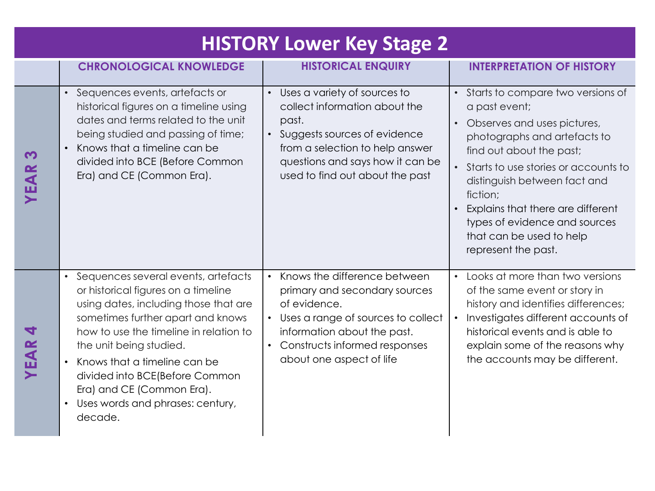| <b>HISTORY Lower Key Stage 2</b> |                                                                                                                                                                                                                                                                                                                                                                             |                                                                                                                                                                                                                      |                                                                                                                                                                                                                                                                                                                                                                           |  |  |  |
|----------------------------------|-----------------------------------------------------------------------------------------------------------------------------------------------------------------------------------------------------------------------------------------------------------------------------------------------------------------------------------------------------------------------------|----------------------------------------------------------------------------------------------------------------------------------------------------------------------------------------------------------------------|---------------------------------------------------------------------------------------------------------------------------------------------------------------------------------------------------------------------------------------------------------------------------------------------------------------------------------------------------------------------------|--|--|--|
|                                  | <b>CHRONOLOGICAL KNOWLEDGE</b>                                                                                                                                                                                                                                                                                                                                              | <b>HISTORICAL ENQUIRY</b>                                                                                                                                                                                            | <b>INTERPRETATION OF HISTORY</b>                                                                                                                                                                                                                                                                                                                                          |  |  |  |
| <b>m</b><br>YEAR                 | • Sequences events, artefacts or<br>historical figures on a timeline using<br>dates and terms related to the unit<br>being studied and passing of time;<br>Knows that a timeline can be<br>divided into BCE (Before Common<br>Era) and CE (Common Era).                                                                                                                     | • Uses a variety of sources to<br>collect information about the<br>past.<br>• Suggests sources of evidence<br>from a selection to help answer<br>questions and says how it can be<br>used to find out about the past | • Starts to compare two versions of<br>a past event;<br>Observes and uses pictures,<br>$\bullet$<br>photographs and artefacts to<br>find out about the past;<br>Starts to use stories or accounts to<br>distinguish between fact and<br>fiction;<br>Explains that there are different<br>types of evidence and sources<br>that can be used to help<br>represent the past. |  |  |  |
| $\blacktriangleleft$<br>YEAR     | Sequences several events, artefacts<br>or historical figures on a timeline<br>using dates, including those that are<br>sometimes further apart and knows<br>how to use the timeline in relation to<br>the unit being studied.<br>Knows that a timeline can be<br>divided into BCE(Before Common<br>Era) and CE (Common Era).<br>Uses words and phrases: century,<br>decade. | • Knows the difference between<br>primary and secondary sources<br>of evidence.<br>• Uses a range of sources to collect<br>information about the past.<br>Constructs informed responses<br>about one aspect of life  | • Looks at more than two versions<br>of the same event or story in<br>history and identifies differences;<br>Investigates different accounts of<br>historical events and is able to<br>explain some of the reasons why<br>the accounts may be different.                                                                                                                  |  |  |  |